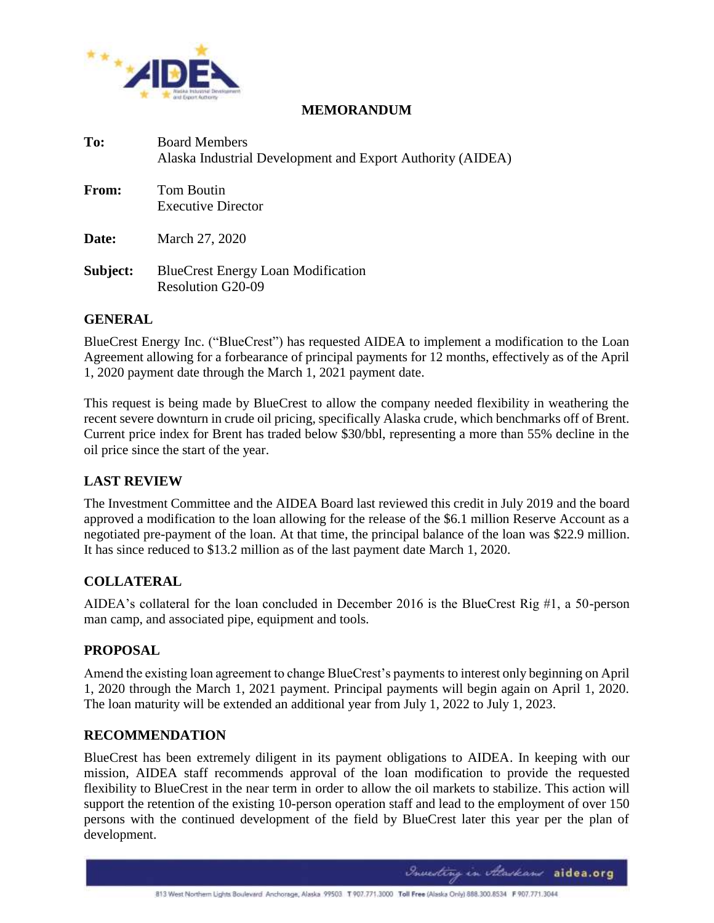

### **MEMORANDUM**

| To:          | <b>Board Members</b><br>Alaska Industrial Development and Export Authority (AIDEA) |
|--------------|------------------------------------------------------------------------------------|
| <b>From:</b> | Tom Boutin<br><b>Executive Director</b>                                            |
| Date:        | March 27, 2020                                                                     |
| Subject:     | <b>BlueCrest Energy Loan Modification</b><br><b>Resolution G20-09</b>              |

### **GENERAL**

BlueCrest Energy Inc. ("BlueCrest") has requested AIDEA to implement a modification to the Loan Agreement allowing for a forbearance of principal payments for 12 months, effectively as of the April 1, 2020 payment date through the March 1, 2021 payment date.

This request is being made by BlueCrest to allow the company needed flexibility in weathering the recent severe downturn in crude oil pricing, specifically Alaska crude, which benchmarks off of Brent. Current price index for Brent has traded below \$30/bbl, representing a more than 55% decline in the oil price since the start of the year.

# **LAST REVIEW**

The Investment Committee and the AIDEA Board last reviewed this credit in July 2019 and the board approved a modification to the loan allowing for the release of the \$6.1 million Reserve Account as a negotiated pre-payment of the loan. At that time, the principal balance of the loan was \$22.9 million. It has since reduced to \$13.2 million as of the last payment date March 1, 2020.

# **COLLATERAL**

AIDEA's collateral for the loan concluded in December 2016 is the BlueCrest Rig #1, a 50-person man camp, and associated pipe, equipment and tools.

# **PROPOSAL**

Amend the existing loan agreement to change BlueCrest's payments to interest only beginning on April 1, 2020 through the March 1, 2021 payment. Principal payments will begin again on April 1, 2020. The loan maturity will be extended an additional year from July 1, 2022 to July 1, 2023.

### **RECOMMENDATION**

BlueCrest has been extremely diligent in its payment obligations to AIDEA. In keeping with our mission, AIDEA staff recommends approval of the loan modification to provide the requested flexibility to BlueCrest in the near term in order to allow the oil markets to stabilize. This action will support the retention of the existing 10-person operation staff and lead to the employment of over 150 persons with the continued development of the field by BlueCrest later this year per the plan of development.

Investing in Ataskans aidea.org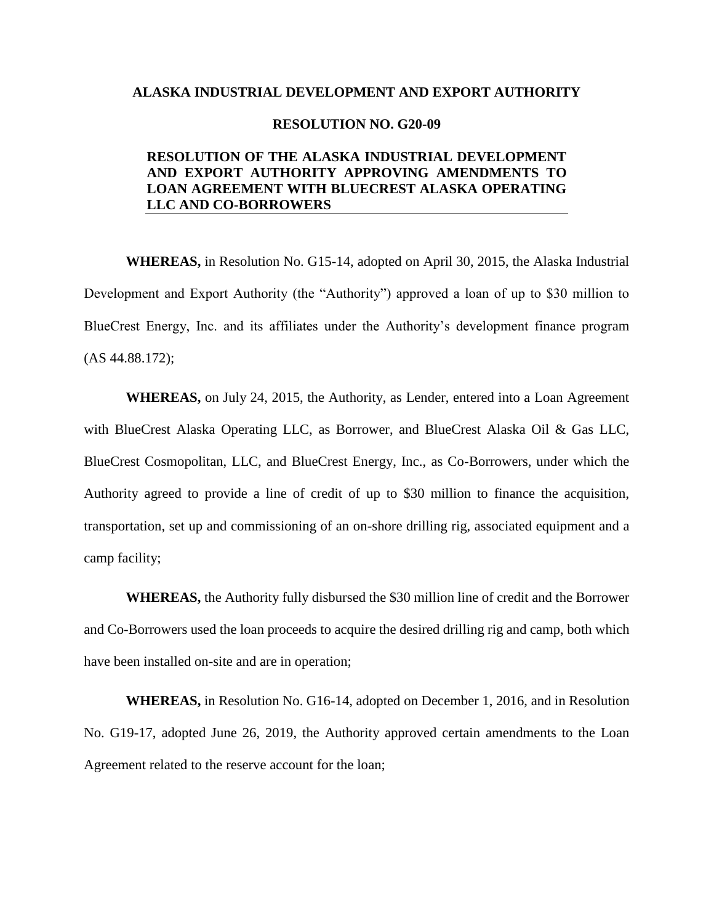### **ALASKA INDUSTRIAL DEVELOPMENT AND EXPORT AUTHORITY**

### **RESOLUTION NO. G20-09**

### **RESOLUTION OF THE ALASKA INDUSTRIAL DEVELOPMENT AND EXPORT AUTHORITY APPROVING AMENDMENTS TO LOAN AGREEMENT WITH BLUECREST ALASKA OPERATING LLC AND CO-BORROWERS**

**WHEREAS,** in Resolution No. G15-14, adopted on April 30, 2015, the Alaska Industrial Development and Export Authority (the "Authority") approved a loan of up to \$30 million to BlueCrest Energy, Inc. and its affiliates under the Authority's development finance program (AS 44.88.172);

**WHEREAS,** on July 24, 2015, the Authority, as Lender, entered into a Loan Agreement with BlueCrest Alaska Operating LLC, as Borrower, and BlueCrest Alaska Oil & Gas LLC, BlueCrest Cosmopolitan, LLC, and BlueCrest Energy, Inc., as Co-Borrowers, under which the Authority agreed to provide a line of credit of up to \$30 million to finance the acquisition, transportation, set up and commissioning of an on-shore drilling rig, associated equipment and a camp facility;

**WHEREAS,** the Authority fully disbursed the \$30 million line of credit and the Borrower and Co-Borrowers used the loan proceeds to acquire the desired drilling rig and camp, both which have been installed on-site and are in operation;

**WHEREAS,** in Resolution No. G16-14, adopted on December 1, 2016, and in Resolution No. G19-17, adopted June 26, 2019, the Authority approved certain amendments to the Loan Agreement related to the reserve account for the loan;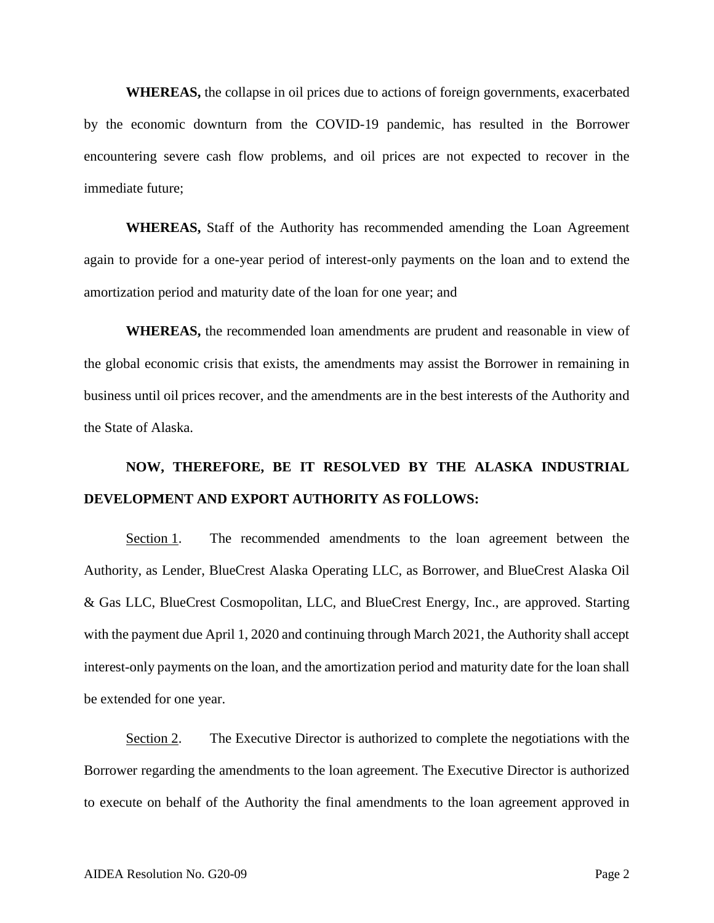**WHEREAS,** the collapse in oil prices due to actions of foreign governments, exacerbated by the economic downturn from the COVID-19 pandemic, has resulted in the Borrower encountering severe cash flow problems, and oil prices are not expected to recover in the immediate future;

**WHEREAS,** Staff of the Authority has recommended amending the Loan Agreement again to provide for a one-year period of interest-only payments on the loan and to extend the amortization period and maturity date of the loan for one year; and

**WHEREAS,** the recommended loan amendments are prudent and reasonable in view of the global economic crisis that exists, the amendments may assist the Borrower in remaining in business until oil prices recover, and the amendments are in the best interests of the Authority and the State of Alaska.

# **NOW, THEREFORE, BE IT RESOLVED BY THE ALASKA INDUSTRIAL DEVELOPMENT AND EXPORT AUTHORITY AS FOLLOWS:**

Section 1. The recommended amendments to the loan agreement between the Authority, as Lender, BlueCrest Alaska Operating LLC, as Borrower, and BlueCrest Alaska Oil & Gas LLC, BlueCrest Cosmopolitan, LLC, and BlueCrest Energy, Inc., are approved. Starting with the payment due April 1, 2020 and continuing through March 2021, the Authority shall accept interest-only payments on the loan, and the amortization period and maturity date for the loan shall be extended for one year.

Section 2. The Executive Director is authorized to complete the negotiations with the Borrower regarding the amendments to the loan agreement. The Executive Director is authorized to execute on behalf of the Authority the final amendments to the loan agreement approved in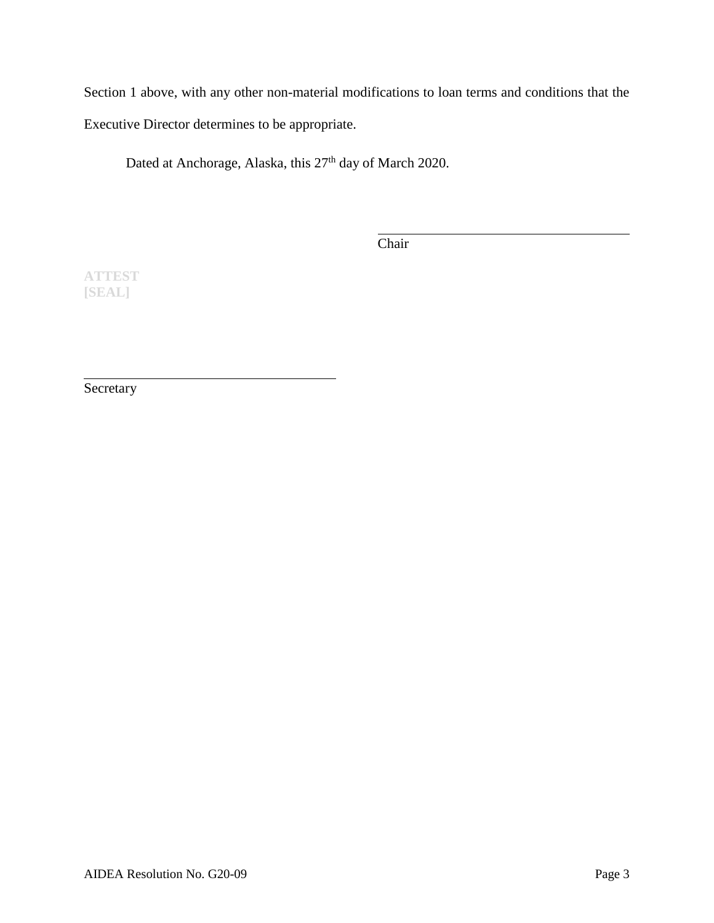Section 1 above, with any other non-material modifications to loan terms and conditions that the Executive Director determines to be appropriate.

Dated at Anchorage, Alaska, this 27<sup>th</sup> day of March 2020.

Chair

**ATTEST [SEAL]**

Secretary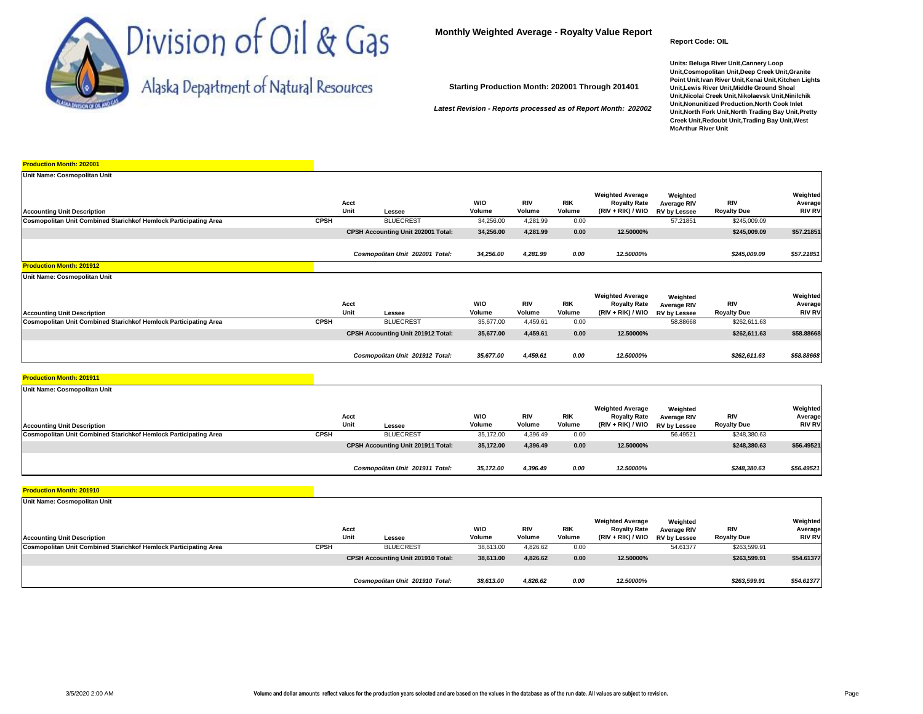

**Report Code: OIL**

**Units: Beluga River Unit,Cannery Loop Unit,Cosmopolitan Unit,Deep Creek Unit,Granite Point Unit,Ivan River Unit,Kenai Unit,Kitchen Lights Unit,Lewis River Unit,Middle Ground Shoal Unit,Nicolai Creek Unit,Nikolaevsk Unit,Ninilchik Unit,Nonunitized Production,North Cook Inlet Unit,North Fork Unit,North Trading Bay Unit,Pretty Creek Unit,Redoubt Unit,Trading Bay Unit,West McArthur River Unit**

|  |  |  |  |  | Alaska Department of Natural Resources |
|--|--|--|--|--|----------------------------------------|
|--|--|--|--|--|----------------------------------------|

**Starting Production Month: 202001 Through 201401**

*Latest Revision - Reports processed as of Report Month: 202002*

| <b>Production Month: 202001</b>                                  |             |              |                                    |                      |                      |                      |                                                                     |                                                       |                                  |                                      |
|------------------------------------------------------------------|-------------|--------------|------------------------------------|----------------------|----------------------|----------------------|---------------------------------------------------------------------|-------------------------------------------------------|----------------------------------|--------------------------------------|
| Unit Name: Cosmopolitan Unit                                     |             |              |                                    |                      |                      |                      |                                                                     |                                                       |                                  |                                      |
| <b>Accounting Unit Description</b>                               |             | Acct<br>Unit | Lessee                             | <b>WIO</b><br>Volume | <b>RIV</b><br>Volume | <b>RIK</b><br>Volume | <b>Weighted Average</b><br><b>Royalty Rate</b><br>(RIV + RIK) / WIO | Weighted<br><b>Average RIV</b><br><b>RV by Lessee</b> | <b>RIV</b><br><b>Royalty Due</b> | Weighted<br>Average<br><b>RIV RV</b> |
| Cosmopolitan Unit Combined Starichkof Hemlock Participating Area | <b>CPSH</b> |              | <b>BLUECREST</b>                   | 34,256.00            | 4,281.99             | 0.00                 |                                                                     | 57.21851                                              | \$245,009.09                     |                                      |
|                                                                  |             |              | CPSH Accounting Unit 202001 Total: | 34,256.00            | 4,281.99             | 0.00                 | 12.50000%                                                           |                                                       | \$245,009.09                     | \$57.21851                           |
|                                                                  |             |              | Cosmopolitan Unit 202001 Total:    | 34,256.00            | 4,281.99             | 0.00                 | 12.50000%                                                           |                                                       | \$245,009.09                     | \$57.21851                           |
| <b>Production Month: 201912</b>                                  |             |              |                                    |                      |                      |                      |                                                                     |                                                       |                                  |                                      |
| Unit Name: Cosmopolitan Unit                                     |             |              |                                    |                      |                      |                      |                                                                     |                                                       |                                  |                                      |
| <b>Accounting Unit Description</b>                               |             | Acct<br>Unit | Lessee                             | <b>WIO</b><br>Volume | <b>RIV</b><br>Volume | <b>RIK</b><br>Volume | <b>Weighted Average</b><br><b>Royalty Rate</b><br>(RIV + RIK) / WIO | Weighted<br><b>Average RIV</b><br><b>RV by Lessee</b> | RIV<br><b>Royalty Due</b>        | Weighted<br>Average<br><b>RIV RV</b> |
| Cosmopolitan Unit Combined Starichkof Hemlock Participating Area | <b>CPSH</b> |              | <b>BLUECREST</b>                   | 35,677.00            | 4,459.61             | 0.00                 |                                                                     | 58.88668                                              | \$262,611.63                     |                                      |
|                                                                  |             |              | CPSH Accounting Unit 201912 Total: | 35,677.00            | 4,459.61             | 0.00                 | 12.50000%                                                           |                                                       | \$262,611.63                     | \$58.88668                           |
|                                                                  |             |              | Cosmopolitan Unit 201912 Total:    | 35,677.00            | 4,459.61             | 0.00                 | 12.50000%                                                           |                                                       | \$262,611.63                     | \$58.88668                           |
| <b>Production Month: 201911</b>                                  |             |              |                                    |                      |                      |                      |                                                                     |                                                       |                                  |                                      |

| Unit Name: Cosmopolitan Unit                                            |             |                                    |                      |                      |                      |                                                                     |                                         |                           |                                      |
|-------------------------------------------------------------------------|-------------|------------------------------------|----------------------|----------------------|----------------------|---------------------------------------------------------------------|-----------------------------------------|---------------------------|--------------------------------------|
| <b>Accounting Unit Description</b>                                      |             | Acct<br>Unit<br>Lessee             | <b>WIO</b><br>Volume | <b>RIV</b><br>Volume | <b>RIK</b><br>Volume | <b>Weighted Average</b><br><b>Royalty Rate</b><br>(RIV + RIK) / WIO | Weighted<br>Average RIV<br>RV by Lessee | RIV<br><b>Royalty Due</b> | Weighted<br>Average<br><b>RIV RV</b> |
| <b>Cosmopolitan Unit Combined Starichkof Hemlock Participating Area</b> | <b>CPSH</b> | <b>BLUECREST</b>                   | 35,172.00            | 4,396.49             | 0.00                 |                                                                     | 56.49521                                | \$248,380.63              |                                      |
|                                                                         |             | CPSH Accounting Unit 201911 Total: | 35,172.00            | 4,396.49             | 0.00                 | 12.50000%                                                           |                                         | \$248,380.63              | \$56.49521                           |
|                                                                         |             | Cosmopolitan Unit 201911 Total:    | 35.172.00            | 4,396.49             | 0.00                 | 12.50000%                                                           |                                         | \$248,380.63              | \$56.49521                           |
| <b>Production Month: 201910</b>                                         |             |                                    |                      |                      |                      |                                                                     |                                         |                           |                                      |

| Unit Name: Cosmopolitan Unit                                     |             | Acct                               | <b>WIO</b> | <b>RIV</b> | <b>RIK</b> | <b>Weighted Average</b><br><b>Royalty Rate</b> | Weighted<br>Average RIV | RIV                | Weighted<br>Average |
|------------------------------------------------------------------|-------------|------------------------------------|------------|------------|------------|------------------------------------------------|-------------------------|--------------------|---------------------|
| <b>Accounting Unit Description</b>                               |             | Unit<br>Lessee                     | Volume     | Volume     | Volume     | (RIV + RIK) / WIO RV by Lessee                 |                         | <b>Royalty Due</b> | <b>RIV RV</b>       |
| Cosmopolitan Unit Combined Starichkof Hemlock Participating Area | <b>CPSH</b> | <b>BLUECREST</b>                   | 38,613.00  | 4,826.62   | 0.00       |                                                | 54,61377                | \$263,599.91       |                     |
|                                                                  |             | CPSH Accounting Unit 201910 Total: | 38,613.00  | 4,826.62   | 0.00       | 12.50000%                                      |                         | \$263,599.91       | \$54.61377          |
|                                                                  |             |                                    |            |            |            |                                                |                         |                    |                     |
|                                                                  |             | Cosmopolitan Unit 201910 Total:    | 38,613.00  | 4,826.62   | 0.00       | 12.50000%                                      |                         | \$263,599.91       | \$54.61377          |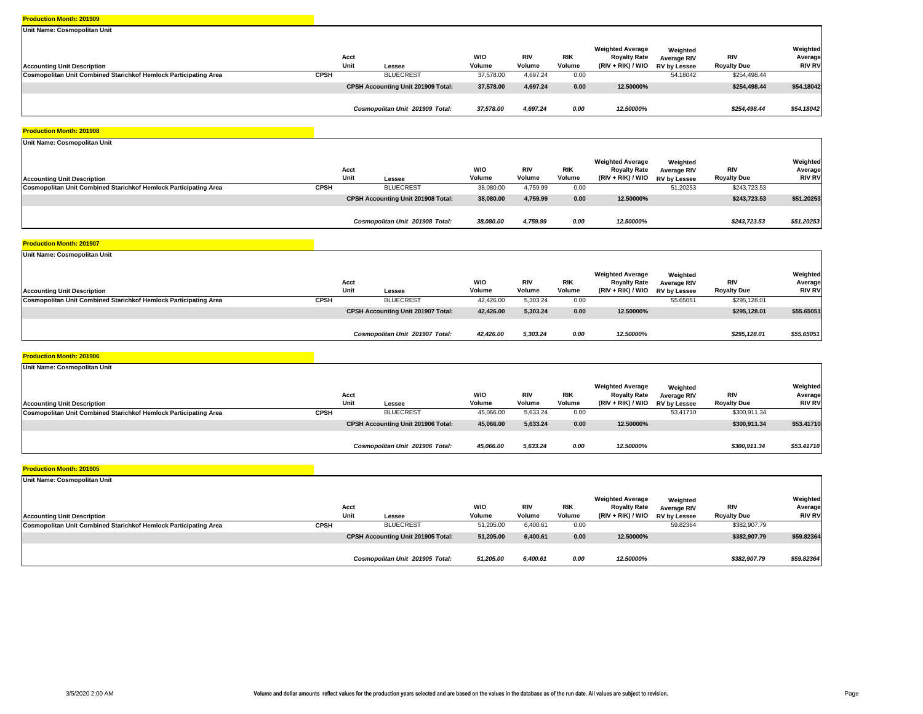| Unit Name: Cosmopolitan Unit                                            |             |                                           |                      |                      |                      |                                                                       |                                                       |                                  |                                      |
|-------------------------------------------------------------------------|-------------|-------------------------------------------|----------------------|----------------------|----------------------|-----------------------------------------------------------------------|-------------------------------------------------------|----------------------------------|--------------------------------------|
| <b>Accounting Unit Description</b>                                      |             | Acct<br>Unit<br>Lessee                    | <b>WIO</b><br>Volume | <b>RIV</b><br>Volume | <b>RIK</b><br>Volume | <b>Weighted Average</b><br><b>Royalty Rate</b><br>$(RIV + RIK) / WIO$ | Weighted<br><b>Average RIV</b><br><b>RV by Lessee</b> | <b>RIV</b><br><b>Royalty Due</b> | Weighted<br>Average<br><b>RIV RV</b> |
| <b>Cosmopolitan Unit Combined Starichkof Hemlock Participating Area</b> | <b>CPSH</b> | <b>BLUECREST</b>                          | 37,578,00            | 4,697.24             | 0.00                 |                                                                       | 54.18042                                              | \$254,498.44                     |                                      |
|                                                                         |             | <b>CPSH Accounting Unit 201909 Total:</b> | 37,578.00            | 4,697.24             | 0.00                 | 12.50000%                                                             |                                                       | \$254,498.44                     | \$54.18042                           |
|                                                                         |             | Cosmopolitan Unit 201909 Total:           | 37,578.00            | 4,697.24             | 0.00                 | 12.50000%                                                             |                                                       | \$254,498.44                     | \$54.18042                           |

#### **Production Month: 201908**

| Unit Name: Cosmopolitan Unit                                     |              |                                           |                      |                      |                      |                                                                       |                                                       |                           |                                      |
|------------------------------------------------------------------|--------------|-------------------------------------------|----------------------|----------------------|----------------------|-----------------------------------------------------------------------|-------------------------------------------------------|---------------------------|--------------------------------------|
| <b>Accounting Unit Description</b>                               | Acct<br>Unit | Lessee                                    | <b>WIO</b><br>Volume | <b>RIV</b><br>Volume | <b>RIK</b><br>Volume | <b>Weighted Average</b><br><b>Royalty Rate</b><br>$(RIV + RIK) / WIO$ | Weighted<br><b>Average RIV</b><br><b>RV by Lessee</b> | RIV<br><b>Royalty Due</b> | Weighted<br>Average<br><b>RIV RV</b> |
| Cosmopolitan Unit Combined Starichkof Hemlock Participating Area | <b>CPSH</b>  | <b>BLUECREST</b>                          | 38,080.00            | 4,759.99             | 0.00                 |                                                                       | 51.20253                                              | \$243,723.53              |                                      |
|                                                                  |              | <b>CPSH Accounting Unit 201908 Total:</b> | 38,080.00            | 4,759.99             | 0.00                 | 12.50000%                                                             |                                                       | \$243,723.53              | \$51.20253                           |
|                                                                  |              | Cosmopolitan Unit 201908 Total:           | 38,080.00            | 4,759.99             | 0.00                 | 12.50000%                                                             |                                                       | \$243,723.53              | \$51.20253                           |

#### **Production Month: 201907**

| Unit Name: Cosmopolitan Unit                                     |             |                                    |                      |                      |                      |                                                                                  |                         |                           |                                      |
|------------------------------------------------------------------|-------------|------------------------------------|----------------------|----------------------|----------------------|----------------------------------------------------------------------------------|-------------------------|---------------------------|--------------------------------------|
| <b>Accounting Unit Description</b>                               |             | Acct<br>Unit<br>Lessee             | <b>WIO</b><br>Volume | <b>RIV</b><br>Volume | <b>RIK</b><br>Volume | <b>Weighted Average</b><br><b>Royalty Rate</b><br>(RIV + RIK) / WIO RV by Lessee | Weighted<br>Average RIV | RIV<br><b>Royalty Due</b> | Weighted<br>Average<br><b>RIV RV</b> |
| Cosmopolitan Unit Combined Starichkof Hemlock Participating Area | <b>CPSH</b> | <b>BLUECREST</b>                   | 42,426.00            | 5,303.24             | 0.00                 |                                                                                  | 55.65051                | \$295,128.01              |                                      |
|                                                                  |             | CPSH Accounting Unit 201907 Total: | 42,426.00            | 5,303.24             | 0.00                 | 12.50000%                                                                        |                         | \$295,128.01              | \$55.65051                           |
|                                                                  |             | Cosmopolitan Unit 201907 Total:    | 42,426.00            | 5,303.24             | 0.00                 | 12.50000%                                                                        |                         | \$295,128.01              | \$55.65051                           |

#### **Production Month: 201906**

| Unit Name: Cosmopolitan Unit                                            |              |                                           |                      |                      |                      |                                                                     |                                                       |                                  |                                      |
|-------------------------------------------------------------------------|--------------|-------------------------------------------|----------------------|----------------------|----------------------|---------------------------------------------------------------------|-------------------------------------------------------|----------------------------------|--------------------------------------|
| <b>Accounting Unit Description</b>                                      | Acct<br>Unit | Lessee                                    | <b>WIO</b><br>Volume | <b>RIV</b><br>Volume | <b>RIK</b><br>Volume | <b>Weighted Average</b><br><b>Royalty Rate</b><br>(RIV + RIK) / WIO | Weighted<br><b>Average RIV</b><br><b>RV by Lessee</b> | <b>RIV</b><br><b>Royalty Due</b> | Weighted<br>Average<br><b>RIV RV</b> |
| <b>Cosmopolitan Unit Combined Starichkof Hemlock Participating Area</b> | CPSH         | <b>BLUECREST</b>                          | 45,066.00            | 5,633.24             | 0.00                 |                                                                     | 53.41710                                              | \$300,911.34                     |                                      |
|                                                                         |              | <b>CPSH Accounting Unit 201906 Total:</b> | 45,066.00            | 5,633.24             | 0.00                 | 12.50000%                                                           |                                                       | \$300,911.34                     | \$53.41710                           |
|                                                                         |              |                                           |                      |                      |                      |                                                                     |                                                       |                                  |                                      |
|                                                                         |              | Cosmopolitan Unit 201906 Total:           | 45,066.00            | 5,633.24             | 0.00                 | 12.50000%                                                           |                                                       | \$300,911.34                     | \$53.41710                           |

| Unit Name: Cosmopolitan Unit                                     |             |                                           |                      |                      |                      |                                                                       |                                                |                                  |                                      |
|------------------------------------------------------------------|-------------|-------------------------------------------|----------------------|----------------------|----------------------|-----------------------------------------------------------------------|------------------------------------------------|----------------------------------|--------------------------------------|
| <b>Accounting Unit Description</b>                               |             | Acct<br>Unit<br>Lessee                    | <b>WIO</b><br>Volume | <b>RIV</b><br>Volume | <b>RIK</b><br>Volume | <b>Weighted Average</b><br><b>Royalty Rate</b><br>$(RIV + RIK) / WIO$ | Weighted<br>Average RIV<br><b>RV by Lessee</b> | <b>RIV</b><br><b>Royalty Due</b> | Weighted<br>Average<br><b>RIV RV</b> |
| Cosmopolitan Unit Combined Starichkof Hemlock Participating Area | <b>CPSH</b> | <b>BLUECREST</b>                          | 51.205.00            | 6,400.61             | 0.00                 |                                                                       | 59.82364                                       | \$382,907.79                     |                                      |
|                                                                  |             | <b>CPSH Accounting Unit 201905 Total:</b> | 51,205.00            | 6,400.61             | 0.00                 | 12.50000%                                                             |                                                | \$382,907.79                     | \$59.82364                           |
|                                                                  |             | Cosmopolitan Unit 201905 Total:           | 51,205.00            | 6,400.61             | 0.00                 | 12.50000%                                                             |                                                | \$382,907.79                     | \$59.82364                           |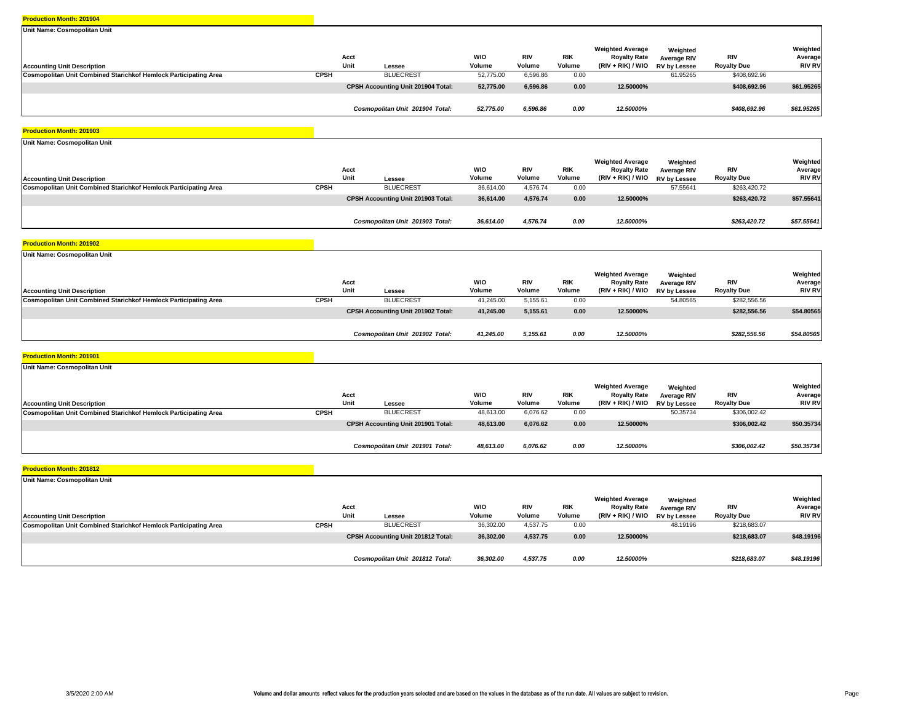| Unit Name: Cosmopolitan Unit                                            |              |                                           |                      |                      |                      |                                                                       |                                                       |                                  |                                      |
|-------------------------------------------------------------------------|--------------|-------------------------------------------|----------------------|----------------------|----------------------|-----------------------------------------------------------------------|-------------------------------------------------------|----------------------------------|--------------------------------------|
| <b>Accounting Unit Description</b>                                      | Acct<br>Unit | Lessee                                    | <b>WIO</b><br>Volume | <b>RIV</b><br>Volume | <b>RIK</b><br>Volume | <b>Weighted Average</b><br><b>Royalty Rate</b><br>$(RIV + RIK) / WIO$ | Weighted<br><b>Average RIV</b><br><b>RV by Lessee</b> | <b>RIV</b><br><b>Royalty Due</b> | Weighted<br>Average<br><b>RIV RV</b> |
| <b>Cosmopolitan Unit Combined Starichkof Hemlock Participating Area</b> | <b>CPSH</b>  | <b>BLUECREST</b>                          | 52,775.00            | 6,596.86             | 0.00                 |                                                                       | 61.95265                                              | \$408,692.96                     |                                      |
|                                                                         |              | <b>CPSH Accounting Unit 201904 Total:</b> | 52,775.00            | 6,596.86             | 0.00                 | 12.50000%                                                             |                                                       | \$408,692.96                     | \$61.95265                           |
|                                                                         |              | Cosmopolitan Unit 201904 Total:           | 52,775.00            | 6,596.86             | 0.00                 | 12.50000%                                                             |                                                       | \$408,692.96                     | \$61.95265                           |

#### **Production Month: 201903**

| Unit Name: Cosmopolitan Unit                                     |              |                                    |                      |                      |                      |                                                                       |                                         |                           |                                      |
|------------------------------------------------------------------|--------------|------------------------------------|----------------------|----------------------|----------------------|-----------------------------------------------------------------------|-----------------------------------------|---------------------------|--------------------------------------|
| <b>Accounting Unit Description</b>                               | Acct<br>Unit | Lessee                             | <b>WIO</b><br>Volume | <b>RIV</b><br>Volume | <b>RIK</b><br>Volume | <b>Weighted Average</b><br><b>Royalty Rate</b><br>$(RIV + RIK) / WIO$ | Weighted<br>Average RIV<br>RV by Lessee | RIV<br><b>Royalty Due</b> | Weighted<br>Average<br><b>RIV RV</b> |
| Cosmopolitan Unit Combined Starichkof Hemlock Participating Area | <b>CPSH</b>  | <b>BLUECREST</b>                   | 36,614.00            | 4,576.74             | 0.00                 |                                                                       | 57.55641                                | \$263,420.72              |                                      |
|                                                                  |              | CPSH Accounting Unit 201903 Total: | 36,614.00            | 4,576.74             | 0.00                 | 12.50000%                                                             |                                         | \$263,420.72              | \$57.55641                           |
|                                                                  |              | Cosmopolitan Unit 201903 Total:    | 36,614.00            | 4,576.74             | 0.00                 | 12.50000%                                                             |                                         | \$263,420.72              | \$57.55641                           |

#### **Production Month: 201902**

| Unit Name: Cosmopolitan Unit                                     |             |                                    |                      |                      |                      |                                                                                  |                         |                           |                                      |
|------------------------------------------------------------------|-------------|------------------------------------|----------------------|----------------------|----------------------|----------------------------------------------------------------------------------|-------------------------|---------------------------|--------------------------------------|
| <b>Accounting Unit Description</b>                               |             | Acct<br>Unit<br>Lessee             | <b>WIO</b><br>Volume | <b>RIV</b><br>Volume | <b>RIK</b><br>Volume | <b>Weighted Average</b><br><b>Royalty Rate</b><br>(RIV + RIK) / WIO RV by Lessee | Weighted<br>Average RIV | RIV<br><b>Royalty Due</b> | Weighted<br>Average<br><b>RIV RV</b> |
| Cosmopolitan Unit Combined Starichkof Hemlock Participating Area | <b>CPSH</b> | <b>BLUECREST</b>                   | 41,245.00            | 5,155.61             | 0.00                 |                                                                                  | 54.80565                | \$282,556.56              |                                      |
|                                                                  |             | CPSH Accounting Unit 201902 Total: | 41,245.00            | 5,155.61             | 0.00                 | 12.50000%                                                                        |                         | \$282,556.56              | \$54.80565                           |
|                                                                  |             | Cosmopolitan Unit 201902 Total:    | 41,245.00            | 5,155.61             | 0.00                 | 12.50000%                                                                        |                         | \$282,556.56              | \$54.80565                           |

#### **Production Month: 201901**

| Unit Name: Cosmopolitan Unit                                            |              |                                           |                      |                      |                      |                                                                     |                                                       |                                  |                                      |
|-------------------------------------------------------------------------|--------------|-------------------------------------------|----------------------|----------------------|----------------------|---------------------------------------------------------------------|-------------------------------------------------------|----------------------------------|--------------------------------------|
| <b>Accounting Unit Description</b>                                      | Acct<br>Unit | Lessee                                    | <b>WIO</b><br>Volume | <b>RIV</b><br>Volume | <b>RIK</b><br>Volume | <b>Weighted Average</b><br><b>Royalty Rate</b><br>(RIV + RIK) / WIO | Weighted<br><b>Average RIV</b><br><b>RV by Lessee</b> | <b>RIV</b><br><b>Royalty Due</b> | Weighted<br>Average<br><b>RIV RV</b> |
| <b>Cosmopolitan Unit Combined Starichkof Hemlock Participating Area</b> | CPSH         | <b>BLUECREST</b>                          | 48,613.00            | 6,076.62             | 0.00                 |                                                                     | 50.35734                                              | \$306,002.42                     |                                      |
|                                                                         |              | <b>CPSH Accounting Unit 201901 Total:</b> | 48,613.00            | 6,076.62             | 0.00                 | 12.50000%                                                           |                                                       | \$306,002.42                     | \$50.35734                           |
|                                                                         |              |                                           |                      |                      |                      |                                                                     |                                                       |                                  |                                      |
|                                                                         |              | Cosmopolitan Unit 201901 Total:           | 48,613.00            | 6,076.62             | 0.00                 | 12.50000%                                                           |                                                       | \$306,002.42                     | \$50.35734                           |

| Unit Name: Cosmopolitan Unit                                     |             |                                           |                      |                      |                      |                                                                       |                                                |                                  |                                      |
|------------------------------------------------------------------|-------------|-------------------------------------------|----------------------|----------------------|----------------------|-----------------------------------------------------------------------|------------------------------------------------|----------------------------------|--------------------------------------|
| <b>Accounting Unit Description</b>                               |             | Acct<br>Unit<br>Lessee                    | <b>WIO</b><br>Volume | <b>RIV</b><br>Volume | <b>RIK</b><br>Volume | <b>Weighted Average</b><br><b>Royalty Rate</b><br>$(RIV + RIK) / WIO$ | Weighted<br>Average RIV<br><b>RV by Lessee</b> | <b>RIV</b><br><b>Royalty Due</b> | Weighted<br>Average<br><b>RIV RV</b> |
| Cosmopolitan Unit Combined Starichkof Hemlock Participating Area | <b>CPSH</b> | <b>BLUECREST</b>                          | 36,302.00            | 4,537.75             | 0.00                 |                                                                       | 48.19196                                       | \$218,683.07                     |                                      |
|                                                                  |             | <b>CPSH Accounting Unit 201812 Total:</b> | 36,302.00            | 4,537.75             | 0.00                 | 12.50000%                                                             |                                                | \$218,683.07                     | \$48.19196                           |
|                                                                  |             | Cosmopolitan Unit 201812 Total:           | 36,302.00            | 4,537.75             | 0.00                 | 12.50000%                                                             |                                                | \$218,683.07                     | \$48.19196                           |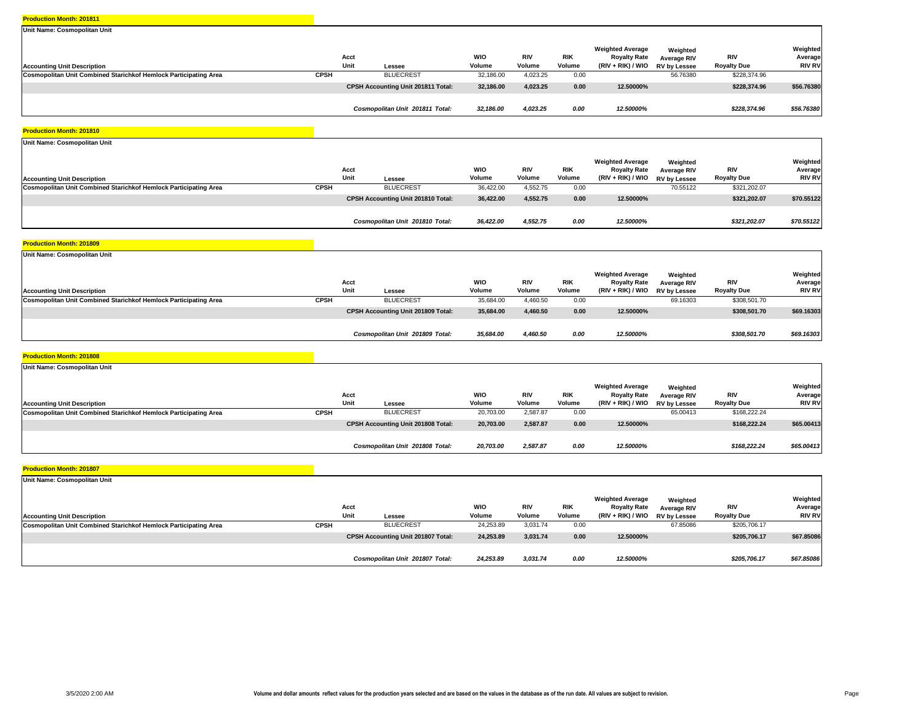| Unit Name: Cosmopolitan Unit                                     |             |                                           |               |                      |                      |                                                                     |                                                       |                           |                                      |
|------------------------------------------------------------------|-------------|-------------------------------------------|---------------|----------------------|----------------------|---------------------------------------------------------------------|-------------------------------------------------------|---------------------------|--------------------------------------|
| <b>Accounting Unit Description</b>                               |             | Acct<br>Unit<br>Lessee                    | WIO<br>Volume | <b>RIV</b><br>Volume | <b>RIK</b><br>Volume | <b>Weighted Average</b><br><b>Royalty Rate</b><br>(RIV + RIK) / WIO | Weighted<br><b>Average RIV</b><br><b>RV by Lessee</b> | RIV<br><b>Royalty Due</b> | Weighted<br>Average<br><b>RIV RV</b> |
| Cosmopolitan Unit Combined Starichkof Hemlock Participating Area | <b>CPSH</b> | <b>BLUECREST</b>                          | 32,186.00     | 4,023.25             | 0.00                 |                                                                     | 56.76380                                              | \$228,374.96              |                                      |
|                                                                  |             | <b>CPSH Accounting Unit 201811 Total:</b> | 32,186.00     | 4,023.25             | 0.00                 | 12.50000%                                                           |                                                       | \$228,374.96              | \$56.76380                           |
|                                                                  |             | Cosmopolitan Unit 201811 Total:           | 32,186.00     | 4,023.25             | 0.00                 | 12.50000%                                                           |                                                       | \$228.374.96              | \$56.76380                           |

#### **Production Month: 201810**

| Unit Name: Cosmopolitan Unit                                     |              |                                           |                      |                      |                      |                                                                     |                                                       |                           |                                      |
|------------------------------------------------------------------|--------------|-------------------------------------------|----------------------|----------------------|----------------------|---------------------------------------------------------------------|-------------------------------------------------------|---------------------------|--------------------------------------|
| <b>Accounting Unit Description</b>                               | Acct<br>Unit | Lessee                                    | <b>WIO</b><br>Volume | <b>RIV</b><br>Volume | <b>RIK</b><br>Volume | <b>Weighted Average</b><br><b>Royalty Rate</b><br>$(RIV + RIK)/WIO$ | Weighted<br><b>Average RIV</b><br><b>RV by Lessee</b> | RIV<br><b>Royalty Due</b> | Weighted<br>Average<br><b>RIV RV</b> |
| Cosmopolitan Unit Combined Starichkof Hemlock Participating Area | <b>CPSH</b>  | <b>BLUECREST</b>                          | 36,422.00            | 4,552.75             | 0.00                 |                                                                     | 70.55122                                              | \$321,202.07              |                                      |
|                                                                  |              | <b>CPSH Accounting Unit 201810 Total:</b> | 36,422.00            | 4,552.75             | 0.00                 | 12.50000%                                                           |                                                       | \$321,202.07              | \$70.55122                           |
|                                                                  |              | Cosmopolitan Unit 201810 Total:           | 36,422.00            | 4,552.75             | 0.00                 | 12.50000%                                                           |                                                       | \$321,202.07              | \$70.55122                           |

#### **Production Month: 201809**

| Unit Name: Cosmopolitan Unit                                            |             |                                    |                      |                      |                      |                                                                                  |                                |                           |                                      |
|-------------------------------------------------------------------------|-------------|------------------------------------|----------------------|----------------------|----------------------|----------------------------------------------------------------------------------|--------------------------------|---------------------------|--------------------------------------|
| <b>Accounting Unit Description</b>                                      |             | Acct<br>Unit<br>Lessee             | <b>WIO</b><br>Volume | <b>RIV</b><br>Volume | <b>RIK</b><br>Volume | <b>Weighted Average</b><br><b>Royalty Rate</b><br>(RIV + RIK) / WIO RV by Lessee | Weighted<br><b>Average RIV</b> | RIV<br><b>Royalty Due</b> | Weighted<br>Average<br><b>RIV RV</b> |
| <b>Cosmopolitan Unit Combined Starichkof Hemlock Participating Area</b> | <b>CPSH</b> | <b>BLUECREST</b>                   | 35,684.00            | 4,460.50             | 0.00                 |                                                                                  | 69.16303                       | \$308,501.70              |                                      |
|                                                                         |             | CPSH Accounting Unit 201809 Total: | 35,684.00            | 4,460.50             | 0.00                 | 12.50000%                                                                        |                                | \$308,501.70              | \$69.16303                           |
|                                                                         |             | Cosmopolitan Unit 201809 Total:    | 35,684.00            | 4,460.50             | 0.00                 | 12.50000%                                                                        |                                | \$308,501.70              | \$69.16303                           |

#### **Production Month: 201808**

| Unit Name: Cosmopolitan Unit                                     |              |                                           |                      |                      |                      |                                                                     |                                         |                                  |                                      |
|------------------------------------------------------------------|--------------|-------------------------------------------|----------------------|----------------------|----------------------|---------------------------------------------------------------------|-----------------------------------------|----------------------------------|--------------------------------------|
| <b>Accounting Unit Description</b>                               | Acct<br>Unit | Lessee                                    | <b>WIO</b><br>Volume | <b>RIV</b><br>Volume | <b>RIK</b><br>Volume | <b>Weighted Average</b><br><b>Royalty Rate</b><br>(RIV + RIK) / WIO | Weighted<br>Average RIV<br>RV by Lessee | <b>RIV</b><br><b>Royalty Due</b> | Weighted<br>Average<br><b>RIV RV</b> |
| Cosmopolitan Unit Combined Starichkof Hemlock Participating Area | <b>CPSH</b>  | <b>BLUECREST</b>                          | 20,703.00            | 2,587.87             | 0.00                 |                                                                     | 65.00413                                | \$168,222.24                     |                                      |
|                                                                  |              | <b>CPSH Accounting Unit 201808 Total:</b> | 20,703.00            | 2,587.87             | 0.00                 | 12.50000%                                                           |                                         | \$168,222.24                     | \$65.00413                           |
|                                                                  |              |                                           |                      |                      |                      |                                                                     |                                         |                                  |                                      |
|                                                                  |              | Cosmopolitan Unit 201808 Total:           | 20,703.00            | 2,587.87             | 0.00                 | 12.50000%                                                           |                                         | \$168,222.24                     | \$65.00413                           |

| Unit Name: Cosmopolitan Unit                                     |             |                                    |                      |                      |                      |                                                                       |                                                       |                                  |                                      |
|------------------------------------------------------------------|-------------|------------------------------------|----------------------|----------------------|----------------------|-----------------------------------------------------------------------|-------------------------------------------------------|----------------------------------|--------------------------------------|
| <b>Accounting Unit Description</b>                               |             | Acct<br>Unit<br>Lessee             | <b>WIO</b><br>Volume | <b>RIV</b><br>Volume | <b>RIK</b><br>Volume | <b>Weighted Average</b><br><b>Royalty Rate</b><br>$(RIV + RIK) / WIO$ | Weighted<br><b>Average RIV</b><br><b>RV by Lessee</b> | <b>RIV</b><br><b>Royalty Due</b> | Weighted<br>Average<br><b>RIV RV</b> |
| Cosmopolitan Unit Combined Starichkof Hemlock Participating Area | <b>CPSH</b> | <b>BLUECREST</b>                   | 24,253.89            | 3,031.74             | 0.00                 |                                                                       | 67.85086                                              | \$205,706.17                     |                                      |
|                                                                  |             | CPSH Accounting Unit 201807 Total: | 24,253.89            | 3,031.74             | 0.00                 | 12.50000%                                                             |                                                       | \$205,706.17                     | \$67.85086                           |
|                                                                  |             | Cosmopolitan Unit 201807 Total:    | 24,253.89            | 3.031.74             | 0.00                 | 12.50000%                                                             |                                                       | \$205,706.17                     | \$67.85086                           |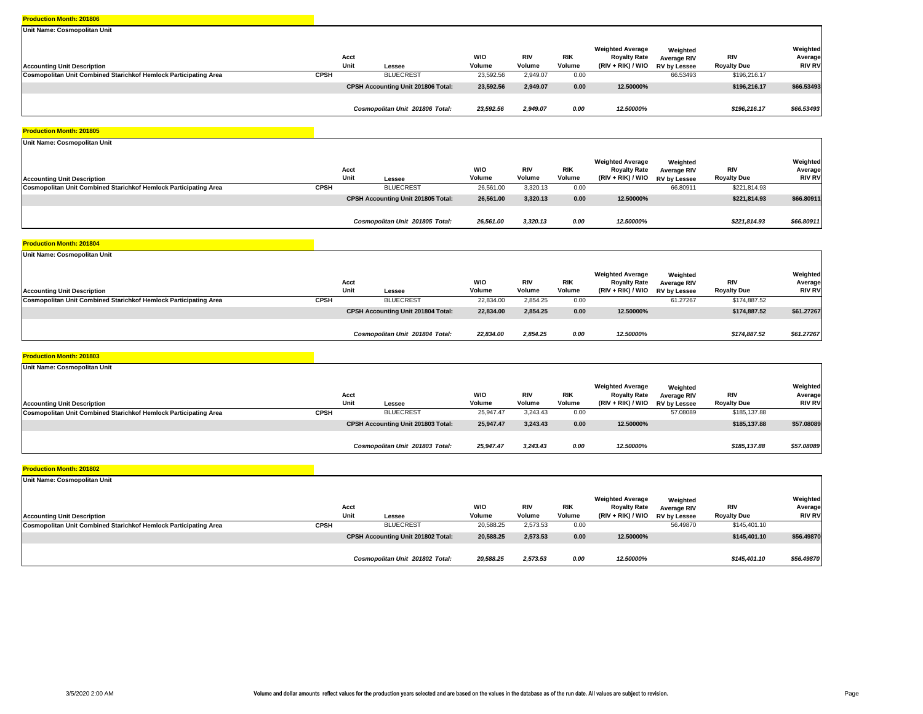| Unit Name: Cosmopolitan Unit                                     |             |                                           |                      |                      |                      |                                                                     |                                                |                           |                                      |
|------------------------------------------------------------------|-------------|-------------------------------------------|----------------------|----------------------|----------------------|---------------------------------------------------------------------|------------------------------------------------|---------------------------|--------------------------------------|
| <b>Accounting Unit Description</b>                               |             | Acct<br>Unit<br>Lessee                    | <b>WIO</b><br>Volume | <b>RIV</b><br>Volume | <b>RIK</b><br>Volume | <b>Weighted Average</b><br><b>Royalty Rate</b><br>(RIV + RIK) / WIO | Weighted<br><b>Average RIV</b><br>RV by Lessee | RIV<br><b>Royalty Due</b> | Weighted<br>Average<br><b>RIV RV</b> |
| Cosmopolitan Unit Combined Starichkof Hemlock Participating Area | <b>CPSH</b> | <b>BLUECREST</b>                          | 23,592.56            | 2,949.07             | 0.00                 |                                                                     | 66.53493                                       | \$196,216.17              |                                      |
|                                                                  |             | <b>CPSH Accounting Unit 201806 Total:</b> | 23,592.56            | 2,949.07             | 0.00                 | 12.50000%                                                           |                                                | \$196,216.17              | \$66.53493                           |
|                                                                  |             | Cosmopolitan Unit 201806 Total:           | 23,592.56            | 2,949.07             | 0.00                 | 12.50000%                                                           |                                                | \$196,216.17              | \$66.53493                           |

#### **Production Month: 201805**

| Unit Name: Cosmopolitan Unit                                     |              |                                    |                      |                      |                      |                                                                       |                                         |                           |                                      |
|------------------------------------------------------------------|--------------|------------------------------------|----------------------|----------------------|----------------------|-----------------------------------------------------------------------|-----------------------------------------|---------------------------|--------------------------------------|
| <b>Accounting Unit Description</b>                               | Acct<br>Unit | Lessee                             | <b>WIO</b><br>Volume | <b>RIV</b><br>Volume | <b>RIK</b><br>Volume | <b>Weighted Average</b><br><b>Royalty Rate</b><br>$(RIV + RIK) / WIO$ | Weighted<br>Average RIV<br>RV by Lessee | RIV<br><b>Royalty Due</b> | Weighted<br>Average<br><b>RIV RV</b> |
| Cosmopolitan Unit Combined Starichkof Hemlock Participating Area | <b>CPSH</b>  | <b>BLUECREST</b>                   | 26,561.00            | 3,320.13             | 0.00                 |                                                                       | 66.80911                                | \$221,814.93              |                                      |
|                                                                  |              | CPSH Accounting Unit 201805 Total: | 26,561.00            | 3,320.13             | 0.00                 | 12.50000%                                                             |                                         | \$221,814.93              | \$66.80911                           |
|                                                                  |              | Cosmopolitan Unit 201805 Total:    | 26,561.00            | 3,320.13             | 0.00                 | 12.50000%                                                             |                                         | \$221,814.93              | \$66.80911                           |

#### **Production Month: 201804**

| Unit Name: Cosmopolitan Unit                                     |             |                                    |               |                      |                      |                                                                                  |                         |                           |                                      |
|------------------------------------------------------------------|-------------|------------------------------------|---------------|----------------------|----------------------|----------------------------------------------------------------------------------|-------------------------|---------------------------|--------------------------------------|
| <b>Accounting Unit Description</b>                               |             | Acct<br>Unit<br>Lessee             | WIO<br>Volume | <b>RIV</b><br>Volume | <b>RIK</b><br>Volume | <b>Weighted Average</b><br><b>Royalty Rate</b><br>(RIV + RIK) / WIO RV by Lessee | Weighted<br>Average RIV | RIV<br><b>Royalty Due</b> | Weighted<br>Average<br><b>RIV RV</b> |
| Cosmopolitan Unit Combined Starichkof Hemlock Participating Area | <b>CPSH</b> | <b>BLUECREST</b>                   | 22,834.00     | 2,854.25             | 0.00                 |                                                                                  | 61.27267                | \$174,887.52              |                                      |
|                                                                  |             | CPSH Accounting Unit 201804 Total: | 22,834.00     | 2,854.25             | 0.00                 | 12.50000%                                                                        |                         | \$174,887.52              | \$61.27267                           |
|                                                                  |             | Cosmopolitan Unit 201804 Total:    | 22,834.00     | 2,854.25             | 0.00                 | 12.50000%                                                                        |                         | \$174,887.52              | \$61.27267                           |

#### **Production Month: 201803**

| Unit Name: Cosmopolitan Unit                                            |              |                                    |                      |                      |                      |                                                                     |                                         |                                  |                                      |
|-------------------------------------------------------------------------|--------------|------------------------------------|----------------------|----------------------|----------------------|---------------------------------------------------------------------|-----------------------------------------|----------------------------------|--------------------------------------|
| <b>Accounting Unit Description</b>                                      | Acct<br>Unit | Lessee                             | <b>WIO</b><br>Volume | <b>RIV</b><br>Volume | <b>RIK</b><br>Volume | <b>Weighted Average</b><br><b>Royalty Rate</b><br>(RIV + RIK) / WIO | Weighted<br>Average RIV<br>RV by Lessee | <b>RIV</b><br><b>Royalty Due</b> | Weighted<br>Average<br><b>RIV RV</b> |
| <b>Cosmopolitan Unit Combined Starichkof Hemlock Participating Area</b> | <b>CPSH</b>  | <b>BLUECREST</b>                   | 25,947.47            | 3,243.43             | 0.00                 |                                                                     | 57.08089                                | \$185,137.88                     |                                      |
|                                                                         |              | CPSH Accounting Unit 201803 Total: | 25,947.47            | 3,243.43             | 0.00                 | 12.50000%                                                           |                                         | \$185,137.88                     | \$57.08089                           |
|                                                                         |              |                                    |                      |                      |                      |                                                                     |                                         |                                  |                                      |
|                                                                         |              | Cosmopolitan Unit 201803 Total:    | 25,947.47            | 3,243.43             | 0.00                 | 12.50000%                                                           |                                         | \$185,137.88                     | \$57.08089                           |

| Unit Name: Cosmopolitan Unit                                     |             |                                    |                      |                      |               |                                                                       |                                                |                           |                                      |
|------------------------------------------------------------------|-------------|------------------------------------|----------------------|----------------------|---------------|-----------------------------------------------------------------------|------------------------------------------------|---------------------------|--------------------------------------|
| <b>Accounting Unit Description</b>                               |             | Acct<br>Unit<br>Lessee             | <b>WIO</b><br>Volume | <b>RIV</b><br>Volume | RIK<br>Volume | <b>Weighted Average</b><br><b>Royalty Rate</b><br>$(RIV + RIK) / WIO$ | Weighted<br>Average RIV<br><b>RV by Lessee</b> | RIV<br><b>Royalty Due</b> | Weighted<br>Average<br><b>RIV RV</b> |
| Cosmopolitan Unit Combined Starichkof Hemlock Participating Area | <b>CPSH</b> | <b>BLUECREST</b>                   | 20,588.25            | 2,573.53             | 0.00          |                                                                       | 56.49870                                       | \$145,401.10              |                                      |
|                                                                  |             | CPSH Accounting Unit 201802 Total: | 20,588.25            | 2,573.53             | 0.00          | 12.50000%                                                             |                                                | \$145,401.10              | \$56.49870                           |
|                                                                  |             | Cosmopolitan Unit 201802 Total:    | 20,588.25            | 2,573.53             | 0.00          | 12.50000%                                                             |                                                | \$145,401.10              | \$56.49870                           |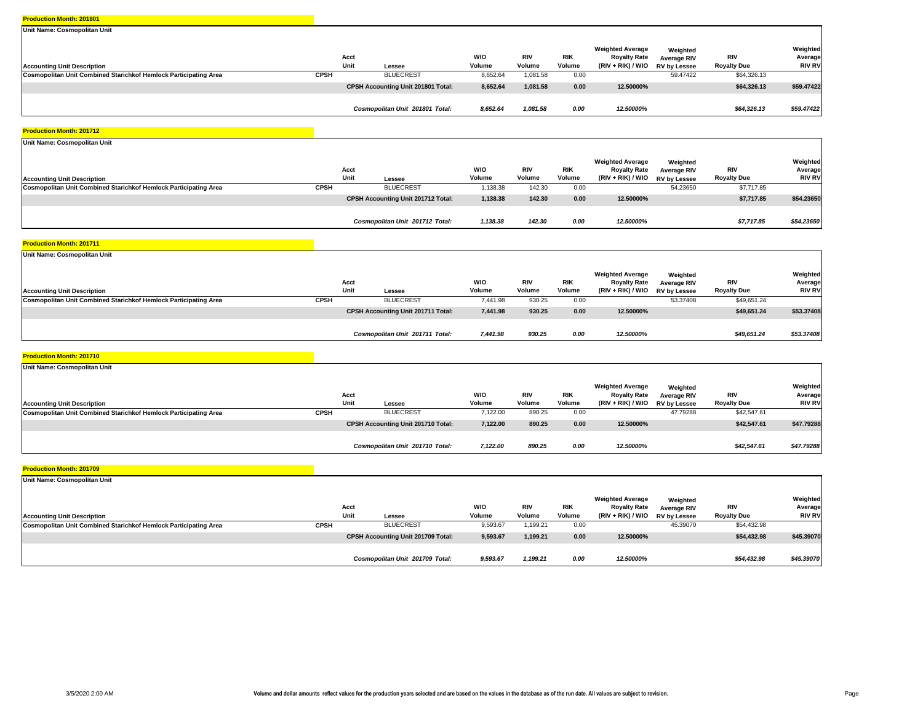| Unit Name: Cosmopolitan Unit                                     |             |                                    |                      |                      |                      |                                                                       |                                                       |                           |                                      |
|------------------------------------------------------------------|-------------|------------------------------------|----------------------|----------------------|----------------------|-----------------------------------------------------------------------|-------------------------------------------------------|---------------------------|--------------------------------------|
| <b>Accounting Unit Description</b>                               |             | Acct<br>Unit<br>Lessee             | <b>WIO</b><br>Volume | <b>RIV</b><br>Volume | <b>RIK</b><br>Volume | <b>Weighted Average</b><br><b>Royalty Rate</b><br>$(RIV + RIK) / WIO$ | Weighted<br><b>Average RIV</b><br><b>RV by Lessee</b> | RIV<br><b>Royalty Due</b> | Weighted<br>Average<br><b>RIV RV</b> |
| Cosmopolitan Unit Combined Starichkof Hemlock Participating Area | <b>CPSH</b> | <b>BLUECREST</b>                   | 8,652.64             | 1,081.58             | 0.00                 |                                                                       | 59.47422                                              | \$64,326.13               |                                      |
|                                                                  |             | CPSH Accounting Unit 201801 Total: | 8,652.64             | 1,081.58             | 0.00                 | 12.50000%                                                             |                                                       | \$64,326.13               | \$59.47422                           |
|                                                                  |             | Cosmopolitan Unit 201801 Total:    | 8,652.64             | 1,081.58             | 0.00                 | 12.50000%                                                             |                                                       | \$64,326.13               | \$59.47422                           |

#### **Production Month: 201712**

| Unit Name: Cosmopolitan Unit                                     |              |                                    |                      |                      |                      |                                                                       |                                                       |                                  |                                      |
|------------------------------------------------------------------|--------------|------------------------------------|----------------------|----------------------|----------------------|-----------------------------------------------------------------------|-------------------------------------------------------|----------------------------------|--------------------------------------|
| <b>Accounting Unit Description</b>                               | Acct<br>Unit | Lessee                             | <b>WIO</b><br>Volume | <b>RIV</b><br>Volume | <b>RIK</b><br>Volume | <b>Weighted Average</b><br><b>Royalty Rate</b><br>$(RIV + RIK) / WIO$ | Weighted<br><b>Average RIV</b><br><b>RV by Lessee</b> | <b>RIV</b><br><b>Royalty Due</b> | Weighted<br>Average<br><b>RIV RV</b> |
| Cosmopolitan Unit Combined Starichkof Hemlock Participating Area | CPSH         | <b>BLUECREST</b>                   | ,138.38              | 142.30               | 0.00                 |                                                                       | 54.23650                                              | \$7,717.85                       |                                      |
|                                                                  |              | CPSH Accounting Unit 201712 Total: | 1,138.38             | 142.30               | 0.00                 | 12.50000%                                                             |                                                       | \$7,717.85                       | \$54.23650                           |
|                                                                  |              | Cosmopolitan Unit 201712 Total:    | 1,138.38             | 142.30               | 0.00                 | 12.50000%                                                             |                                                       | \$7,717.85                       | \$54.23650                           |

#### **Production Month: 201711**

| Unit Name: Cosmopolitan Unit                                            |             |                                    |                      |                      |                      |                                                                                  |                         |                           |                                      |
|-------------------------------------------------------------------------|-------------|------------------------------------|----------------------|----------------------|----------------------|----------------------------------------------------------------------------------|-------------------------|---------------------------|--------------------------------------|
| <b>Accounting Unit Description</b>                                      |             | Acct<br>Unit<br>Lessee             | <b>WIO</b><br>Volume | <b>RIV</b><br>Volume | <b>RIK</b><br>Volume | <b>Weighted Average</b><br><b>Royalty Rate</b><br>(RIV + RIK) / WIO RV by Lessee | Weighted<br>Average RIV | RIV<br><b>Royalty Due</b> | Weighted<br>Average<br><b>RIV RV</b> |
| <b>Cosmopolitan Unit Combined Starichkof Hemlock Participating Area</b> | <b>CPSH</b> | <b>BLUECREST</b>                   | 7,441.98             | 930.25               | 0.00                 |                                                                                  | 53.37408                | \$49,651.24               |                                      |
|                                                                         |             | CPSH Accounting Unit 201711 Total: | 7,441.98             | 930.25               | 0.00                 | 12.50000%                                                                        |                         | \$49,651.24               | \$53.37408                           |
|                                                                         |             | Cosmopolitan Unit 201711 Total:    | 7,441.98             | 930.25               | 0.00                 | 12.50000%                                                                        |                         | \$49,651.24               | \$53.37408                           |

#### **Production Month: 201710**

| Unit Name: Cosmopolitan Unit                                     |              |                                           |                      |                      |                      |                                                                     |                                                |                                  |                                      |
|------------------------------------------------------------------|--------------|-------------------------------------------|----------------------|----------------------|----------------------|---------------------------------------------------------------------|------------------------------------------------|----------------------------------|--------------------------------------|
| <b>Accounting Unit Description</b>                               | Acct<br>Unit | Lessee                                    | <b>WIO</b><br>Volume | <b>RIV</b><br>Volume | <b>RIK</b><br>Volume | <b>Weighted Average</b><br><b>Royalty Rate</b><br>$(RIV + RIK)/WIO$ | Weighted<br><b>Average RIV</b><br>RV by Lessee | <b>RIV</b><br><b>Royalty Due</b> | Weighted<br>Average<br><b>RIV RV</b> |
| Cosmopolitan Unit Combined Starichkof Hemlock Participating Area | <b>CPSH</b>  | <b>BLUECREST</b>                          | 7,122.00             | 890.25               | 0.00                 |                                                                     | 47.79288                                       | \$42,547.61                      |                                      |
|                                                                  |              | <b>CPSH Accounting Unit 201710 Total:</b> | 7,122.00             | 890.25               | 0.00                 | 12.50000%                                                           |                                                | \$42,547.61                      | \$47.79288                           |
|                                                                  |              |                                           |                      |                      |                      |                                                                     |                                                |                                  |                                      |
|                                                                  |              | Cosmopolitan Unit 201710 Total:           | 7,122.00             | 890.25               | 0.00                 | 12.50000%                                                           |                                                | \$42,547.61                      | \$47.79288                           |

| Unit Name: Cosmopolitan Unit                                     |             |                                           |                      |                      |                      |                                                                       |                                                |                                  |                                      |
|------------------------------------------------------------------|-------------|-------------------------------------------|----------------------|----------------------|----------------------|-----------------------------------------------------------------------|------------------------------------------------|----------------------------------|--------------------------------------|
| <b>Accounting Unit Description</b>                               |             | Acct<br>Unit<br>Lessee                    | <b>WIO</b><br>Volume | <b>RIV</b><br>Volume | <b>RIK</b><br>Volume | <b>Weighted Average</b><br><b>Royalty Rate</b><br>$(RIV + RIK) / WIO$ | Weighted<br>Average RIV<br><b>RV by Lessee</b> | <b>RIV</b><br><b>Royalty Due</b> | Weighted<br>Average<br><b>RIV RV</b> |
| Cosmopolitan Unit Combined Starichkof Hemlock Participating Area | <b>CPSH</b> | <b>BLUECREST</b>                          | 9,593.67             | 1,199.21             | 0.00                 |                                                                       | 45.39070                                       | \$54,432.98                      |                                      |
|                                                                  |             | <b>CPSH Accounting Unit 201709 Total:</b> | 9,593.67             | 1,199.21             | 0.00                 | 12.50000%                                                             |                                                | \$54,432.98                      | \$45.39070                           |
|                                                                  |             | Cosmopolitan Unit 201709 Total:           | 9,593.67             | 1,199.21             | 0.00                 | 12.50000%                                                             |                                                | \$54,432.98                      | \$45.39070                           |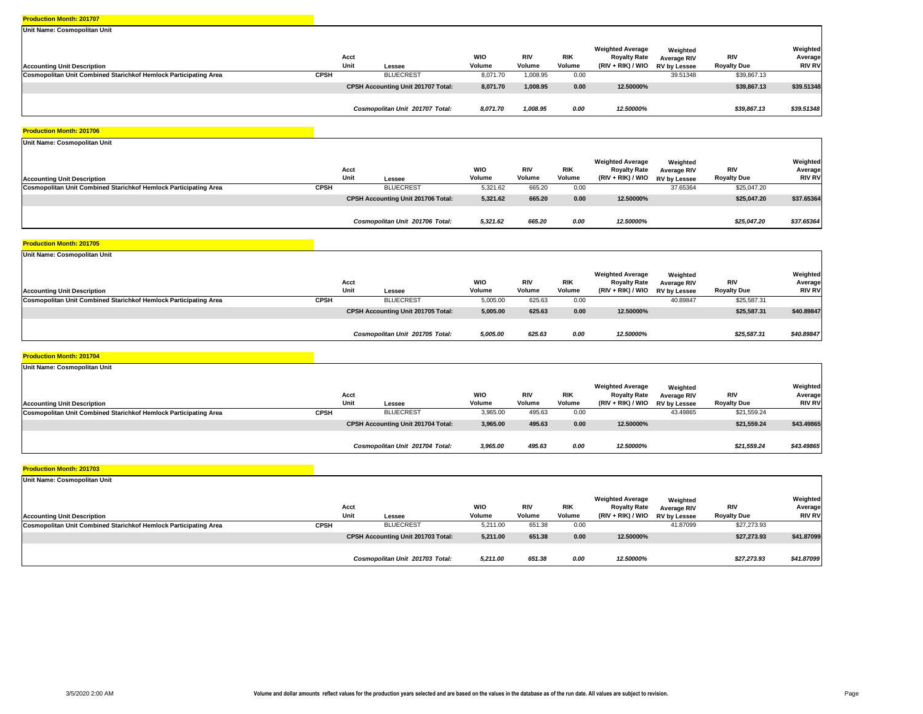| Unit Name: Cosmopolitan Unit                                            |             |                                    |                      |                      |                      |                                                                       |                                                       |                                  |                                      |
|-------------------------------------------------------------------------|-------------|------------------------------------|----------------------|----------------------|----------------------|-----------------------------------------------------------------------|-------------------------------------------------------|----------------------------------|--------------------------------------|
| <b>Accounting Unit Description</b>                                      |             | Acct<br>Unit<br>Lessee             | <b>WIO</b><br>Volume | <b>RIV</b><br>Volume | <b>RIK</b><br>Volume | <b>Weighted Average</b><br><b>Royalty Rate</b><br>$(RIV + RIK) / WIO$ | Weighted<br><b>Average RIV</b><br><b>RV by Lessee</b> | <b>RIV</b><br><b>Royalty Due</b> | Weighted<br>Average<br><b>RIV RV</b> |
| <b>Cosmopolitan Unit Combined Starichkof Hemlock Participating Area</b> | <b>CPSH</b> | <b>BLUECREST</b>                   | 8.071.70             | 1,008.95             | 0.00                 |                                                                       | 39.51348                                              | \$39,867.13                      |                                      |
|                                                                         |             | CPSH Accounting Unit 201707 Total: | 8,071.70             | 1,008.95             | 0.00                 | 12.50000%                                                             |                                                       | \$39,867.13                      | \$39.51348                           |
|                                                                         |             | Cosmopolitan Unit 201707 Total:    | 8,071.70             | 1,008.95             | 0.00                 | 12.50000%                                                             |                                                       | \$39,867.13                      | \$39.51348                           |

#### **Production Month: 201706**

| Unit Name: Cosmopolitan Unit                                     |              |                                    |                      |                      |                      |                                                                       |                                         |                           |                                      |
|------------------------------------------------------------------|--------------|------------------------------------|----------------------|----------------------|----------------------|-----------------------------------------------------------------------|-----------------------------------------|---------------------------|--------------------------------------|
| <b>Accounting Unit Description</b>                               | Acct<br>Unit | Lessee                             | <b>WIO</b><br>Volume | <b>RIV</b><br>Volume | <b>RIK</b><br>Volume | <b>Weighted Average</b><br><b>Royalty Rate</b><br>$(RIV + RIK) / WIO$ | Weighted<br>Average RIV<br>RV by Lessee | RIV<br><b>Royalty Due</b> | Weighted<br>Average<br><b>RIV RV</b> |
| Cosmopolitan Unit Combined Starichkof Hemlock Participating Area | <b>CPSH</b>  | <b>BLUECREST</b>                   | 5,321.62             | 665.20               | 0.00                 |                                                                       | 37.65364                                | \$25,047.20               |                                      |
|                                                                  |              | CPSH Accounting Unit 201706 Total: | 5,321.62             | 665.20               | 0.00                 | 12.50000%                                                             |                                         | \$25,047.20               | \$37.65364                           |
|                                                                  |              | Cosmopolitan Unit 201706 Total:    | 5,321.62             | 665.20               | 0.00                 | 12.50000%                                                             |                                         | \$25.047.20               | \$37.65364                           |

#### **Production Month: 201705**

| Unit Name: Cosmopolitan Unit                                     |             |                                           |                      |                      |                      |                                                                     |                                         |                           |                                      |
|------------------------------------------------------------------|-------------|-------------------------------------------|----------------------|----------------------|----------------------|---------------------------------------------------------------------|-----------------------------------------|---------------------------|--------------------------------------|
| <b>Accounting Unit Description</b>                               |             | Acct<br>Unit<br>Lessee                    | <b>WIO</b><br>Volume | <b>RIV</b><br>Volume | <b>RIK</b><br>Volume | <b>Weighted Average</b><br><b>Royalty Rate</b><br>(RIV + RIK) / WIO | Weighted<br>Average RIV<br>RV by Lessee | RIV<br><b>Royalty Due</b> | Weighted<br>Average<br><b>RIV RV</b> |
| Cosmopolitan Unit Combined Starichkof Hemlock Participating Area | <b>CPSH</b> | <b>BLUECREST</b>                          | 5,005.00             | 625.63               | 0.00                 |                                                                     | 40.89847                                | \$25,587.31               |                                      |
|                                                                  |             | <b>CPSH Accounting Unit 201705 Total:</b> | 5,005.00             | 625.63               | 0.00                 | 12.50000%                                                           |                                         | \$25,587.31               | \$40.89847                           |
|                                                                  |             | Cosmopolitan Unit 201705 Total:           | 5,005.00             | 625.63               | 0.00                 | 12.50000%                                                           |                                         | \$25,587.31               | \$40.89847                           |

#### **Production Month: 201704**

| Unit Name: Cosmopolitan Unit                                     |              |                                           |                      |                      |                      |                                                                       |                                                |                                  |                                      |
|------------------------------------------------------------------|--------------|-------------------------------------------|----------------------|----------------------|----------------------|-----------------------------------------------------------------------|------------------------------------------------|----------------------------------|--------------------------------------|
| <b>Accounting Unit Description</b>                               | Acct<br>Unit | Lessee                                    | <b>WIO</b><br>Volume | <b>RIV</b><br>Volume | <b>RIK</b><br>Volume | <b>Weighted Average</b><br><b>Royalty Rate</b><br>$(RIV + RIK) / WIO$ | Weighted<br><b>Average RIV</b><br>RV by Lessee | <b>RIV</b><br><b>Royalty Due</b> | Weighted<br>Average<br><b>RIV RV</b> |
| Cosmopolitan Unit Combined Starichkof Hemlock Participating Area | <b>CPSH</b>  | <b>BLUECREST</b>                          | 3,965.00             | 495.63               | 0.00                 |                                                                       | 43.49865                                       | \$21,559.24                      |                                      |
|                                                                  |              | <b>CPSH Accounting Unit 201704 Total:</b> | 3,965.00             | 495.63               | 0.00                 | 12.50000%                                                             |                                                | \$21,559.24                      | \$43.49865                           |
|                                                                  |              |                                           |                      |                      |                      |                                                                       |                                                |                                  |                                      |
|                                                                  |              | Cosmopolitan Unit 201704 Total:           | 3,965.00             | 495.63               | 0.00                 | 12.50000%                                                             |                                                | \$21,559.24                      | \$43.49865                           |

| Unit Name: Cosmopolitan Unit                                     |             |                                    |                      |                      |                      |                                                                       |                                                |                                  |                                      |
|------------------------------------------------------------------|-------------|------------------------------------|----------------------|----------------------|----------------------|-----------------------------------------------------------------------|------------------------------------------------|----------------------------------|--------------------------------------|
| <b>Accounting Unit Description</b>                               |             | Acct<br>Unit<br>Lessee             | <b>WIO</b><br>Volume | <b>RIV</b><br>Volume | <b>RIK</b><br>Volume | <b>Weighted Average</b><br><b>Royalty Rate</b><br>$(RIV + RIK) / WIO$ | Weighted<br>Average RIV<br><b>RV by Lessee</b> | <b>RIV</b><br><b>Royalty Due</b> | Weighted<br>Average<br><b>RIV RV</b> |
| Cosmopolitan Unit Combined Starichkof Hemlock Participating Area | <b>CPSH</b> | <b>BLUECREST</b>                   | 5,211.00             | 651.38               | 0.00                 |                                                                       | 41.87099                                       | \$27,273.93                      |                                      |
|                                                                  |             | CPSH Accounting Unit 201703 Total: | 5,211.00             | 651.38               | 0.00                 | 12.50000%                                                             |                                                | \$27,273.93                      | \$41.87099                           |
|                                                                  |             | Cosmopolitan Unit 201703 Total:    | 5,211.00             | 651.38               | 0.00                 | 12.50000%                                                             |                                                | \$27,273.93                      | \$41.87099                           |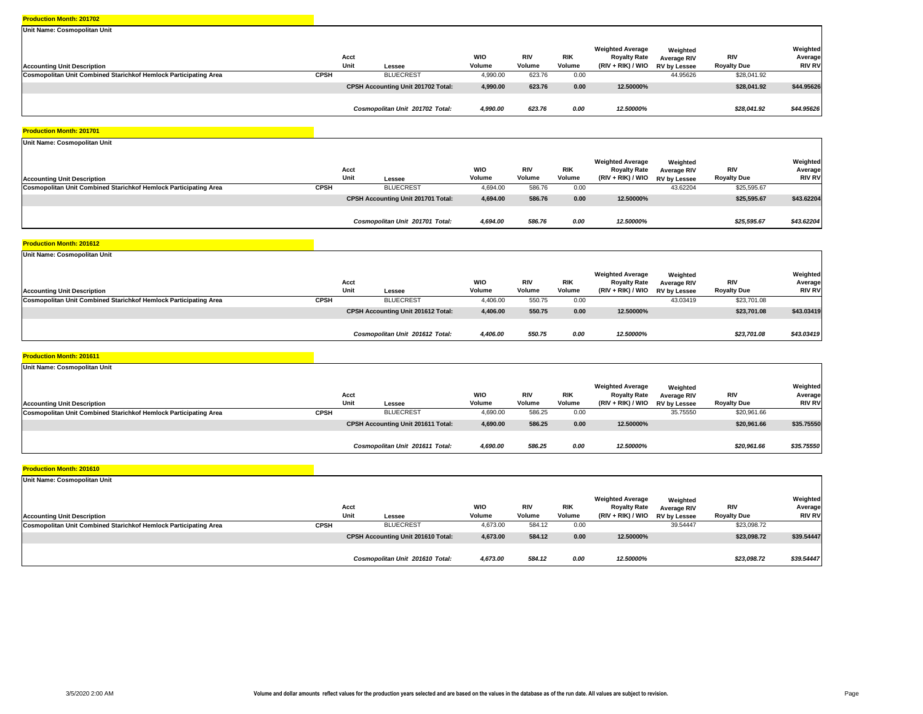| Unit Name: Cosmopolitan Unit                                            |             |                                    |                      |                      |                      |                                                                       |                                                       |                           |                                      |
|-------------------------------------------------------------------------|-------------|------------------------------------|----------------------|----------------------|----------------------|-----------------------------------------------------------------------|-------------------------------------------------------|---------------------------|--------------------------------------|
| <b>Accounting Unit Description</b>                                      |             | Acct<br>Unit<br>Lessee             | <b>WIO</b><br>Volume | <b>RIV</b><br>Volume | <b>RIK</b><br>Volume | <b>Weighted Average</b><br><b>Royalty Rate</b><br>$(RIV + RIK) / WIO$ | Weighted<br><b>Average RIV</b><br><b>RV by Lessee</b> | RIV<br><b>Royalty Due</b> | Weighted<br>Average<br><b>RIV RV</b> |
| <b>Cosmopolitan Unit Combined Starichkof Hemlock Participating Area</b> | <b>CPSH</b> | <b>BLUECREST</b>                   | 4,990.00             | 623.76               | 0.00                 |                                                                       | 44.95626                                              | \$28,041.92               |                                      |
|                                                                         |             | CPSH Accounting Unit 201702 Total: | 4,990.00             | 623.76               | 0.00                 | 12.50000%                                                             |                                                       | \$28.041.92               | \$44.95626                           |
|                                                                         |             | Cosmopolitan Unit 201702 Total:    | 4,990.00             | 623.76               | 0.00                 | 12.50000%                                                             |                                                       | \$28,041.92               | \$44.95626                           |

#### **Production Month: 201701**

| Unit Name: Cosmopolitan Unit                                     |              |                                           |                      |                      |                      |                                                                       |                                                       |                                  |                                      |
|------------------------------------------------------------------|--------------|-------------------------------------------|----------------------|----------------------|----------------------|-----------------------------------------------------------------------|-------------------------------------------------------|----------------------------------|--------------------------------------|
| <b>Accounting Unit Description</b>                               | Acct<br>Unit | Lessee                                    | <b>WIO</b><br>Volume | <b>RIV</b><br>Volume | <b>RIK</b><br>Volume | <b>Weighted Average</b><br><b>Royalty Rate</b><br>$(RIV + RIK) / WIO$ | Weighted<br><b>Average RIV</b><br><b>RV by Lessee</b> | <b>RIV</b><br><b>Royalty Due</b> | Weighted<br>Average<br><b>RIV RV</b> |
| Cosmopolitan Unit Combined Starichkof Hemlock Participating Area | <b>CPSH</b>  | <b>BLUECREST</b>                          | 4,694.00             | 586.76               | 0.00                 |                                                                       | 43.62204                                              | \$25,595.67                      |                                      |
|                                                                  |              | <b>CPSH Accounting Unit 201701 Total:</b> | 4,694.00             | 586.76               | 0.00                 | 12.50000%                                                             |                                                       | \$25,595.67                      | \$43.62204                           |
|                                                                  |              | Cosmopolitan Unit 201701 Total:           | 4,694.00             | 586.76               | 0.00                 | 12.50000%                                                             |                                                       | \$25,595.67                      | \$43.62204                           |

#### **Production Month: 201612**

| Unit Name: Cosmopolitan Unit                                     |             |                                    |                      |                      |                      |                                                                                  |                         |                           |                                      |
|------------------------------------------------------------------|-------------|------------------------------------|----------------------|----------------------|----------------------|----------------------------------------------------------------------------------|-------------------------|---------------------------|--------------------------------------|
| <b>Accounting Unit Description</b>                               |             | Acct<br>Unit<br>Lessee             | <b>WIO</b><br>Volume | <b>RIV</b><br>Volume | <b>RIK</b><br>Volume | <b>Weighted Average</b><br><b>Royalty Rate</b><br>(RIV + RIK) / WIO RV by Lessee | Weighted<br>Average RIV | RIV<br><b>Royalty Due</b> | Weighted<br>Average<br><b>RIV RV</b> |
| Cosmopolitan Unit Combined Starichkof Hemlock Participating Area | <b>CPSH</b> | <b>BLUECREST</b>                   | 4,406.00             | 550.75               | 0.00                 |                                                                                  | 43.03419                | \$23,701.08               |                                      |
|                                                                  |             | CPSH Accounting Unit 201612 Total: | 4,406.00             | 550.75               | 0.00                 | 12.50000%                                                                        |                         | \$23,701.08               | \$43.03419                           |
|                                                                  |             | Cosmopolitan Unit 201612 Total:    | 4,406.00             | 550.75               | 0.00                 | 12.50000%                                                                        |                         | \$23,701.08               | \$43.03419                           |

#### **Production Month: 201611**

| Unit Name: Cosmopolitan Unit                                     |              |                                           |                      |                      |                      |                                                                     |                                                       |                                  |                                      |
|------------------------------------------------------------------|--------------|-------------------------------------------|----------------------|----------------------|----------------------|---------------------------------------------------------------------|-------------------------------------------------------|----------------------------------|--------------------------------------|
| <b>Accounting Unit Description</b>                               | Acct<br>Unit | Lessee                                    | <b>WIO</b><br>Volume | <b>RIV</b><br>Volume | <b>RIK</b><br>Volume | <b>Weighted Average</b><br><b>Royalty Rate</b><br>(RIV + RIK) / WIO | Weighted<br><b>Average RIV</b><br><b>RV by Lessee</b> | <b>RIV</b><br><b>Royalty Due</b> | Weighted<br>Average<br><b>RIV RV</b> |
| Cosmopolitan Unit Combined Starichkof Hemlock Participating Area | <b>CPSH</b>  | <b>BLUECREST</b>                          | 4,690.00             | 586.25               | 0.00                 |                                                                     | 35.75550                                              | \$20,961.66                      |                                      |
|                                                                  |              | <b>CPSH Accounting Unit 201611 Total:</b> | 4,690.00             | 586.25               | 0.00                 | 12.50000%                                                           |                                                       | \$20,961.66                      | \$35.75550                           |
|                                                                  |              |                                           |                      |                      |                      |                                                                     |                                                       |                                  |                                      |
|                                                                  |              | Cosmopolitan Unit 201611 Total:           | 4,690.00             | 586.25               | 0.00                 | 12.50000%                                                           |                                                       | \$20,961.66                      | \$35.75550                           |

| Unit Name: Cosmopolitan Unit                                     |             |                                           |                      |                      |                      |                                                                       |                                                |                           |                                      |
|------------------------------------------------------------------|-------------|-------------------------------------------|----------------------|----------------------|----------------------|-----------------------------------------------------------------------|------------------------------------------------|---------------------------|--------------------------------------|
| <b>Accounting Unit Description</b>                               |             | Acct<br>Unit<br>Lessee                    | <b>WIO</b><br>Volume | <b>RIV</b><br>Volume | <b>RIK</b><br>Volume | <b>Weighted Average</b><br><b>Royalty Rate</b><br>$(RIV + RIK) / WIO$ | Weighted<br>Average RIV<br><b>RV by Lessee</b> | RIV<br><b>Royalty Due</b> | Weighted<br>Average<br><b>RIV RV</b> |
| Cosmopolitan Unit Combined Starichkof Hemlock Participating Area | <b>CPSH</b> | <b>BLUECREST</b>                          | 4,673.00             | 584.12               | 0.00                 |                                                                       | 39.54447                                       | \$23,098.72               |                                      |
|                                                                  |             | <b>CPSH Accounting Unit 201610 Total:</b> | 4,673.00             | 584.12               | 0.00                 | 12.50000%                                                             |                                                | \$23,098.72               | \$39.54447                           |
|                                                                  |             | Cosmopolitan Unit 201610 Total:           | 4,673.00             | 584.12               | 0.00                 | 12.50000%                                                             |                                                | \$23,098.72               | \$39.54447                           |